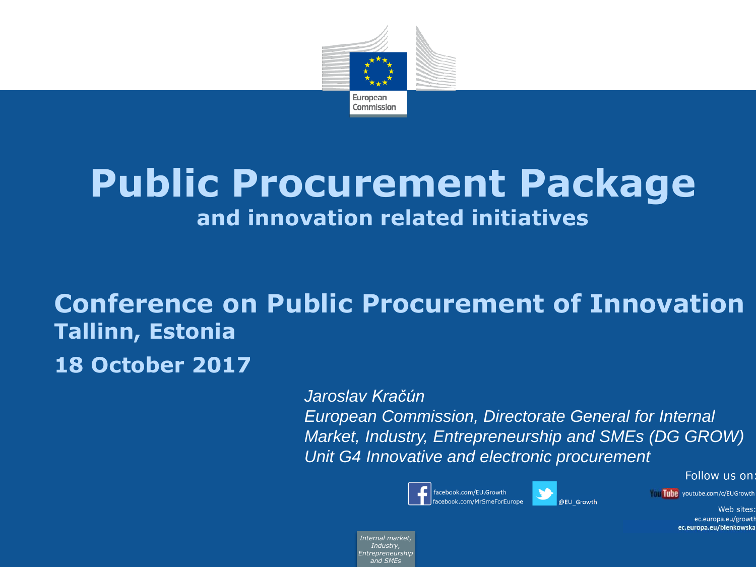

# **Public Procurement Package and innovation related initiatives**

## **Conference on Public Procurement of Innovation Tallinn, Estonia 18 October 2017**

*Jaroslav Kračún*

*European Commission, Directorate General for Internal Market, Industry, Entrepreneurship and SMEs (DG GROW) Unit G4 Innovative and electronic procurement*





Tube youtube.com/c/EUGrowth

Web sites: ec.europa.eu/growth ec.europa.eu/bienkowska

Follow us on:

*Internal market, Industry, Entrepreneurship and SMEs*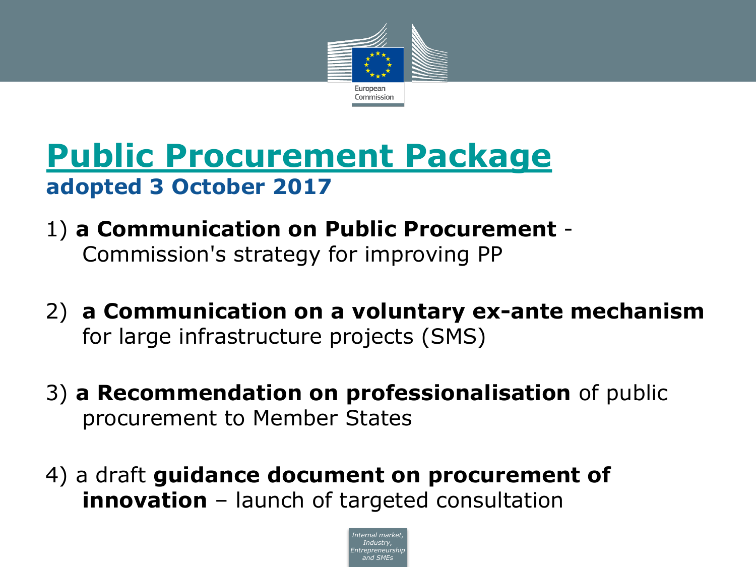

## **[Public Procurement Package](http://ec.europa.eu/growth/content/increasing-impact-public-investment-through-efficient-and-professional-procurement-0_en) adopted 3 October 2017**

- 1) **a Communication on Public Procurement** Commission's strategy for improving PP
- 2) **a Communication on a voluntary ex-ante mechanism** for large infrastructure projects (SMS)
- 3) **a Recommendation on professionalisation** of public procurement to Member States
- 4) a draft **guidance document on procurement of innovation** – launch of targeted consultation

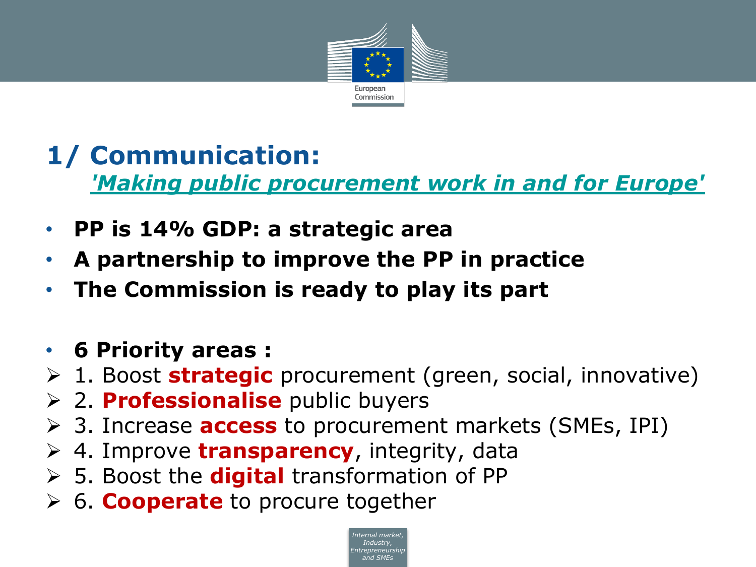

#### **1/ Communication:**  *['Making public procurement work in and for Europe'](http://ec.europa.eu/docsroom/documents/25612)*

- **PP is 14% GDP: a strategic area**
- **A partnership to improve the PP in practice**
- **The Commission is ready to play its part**
- **6 Priority areas :**
- 1. Boost **strategic** procurement (green, social, innovative)
- 2. **Professionalise** public buyers
- 3. Increase **access** to procurement markets (SMEs, IPI)
- 4. Improve **transparency**, integrity, data
- 5. Boost the **digital** transformation of PP
- 6. **Cooperate** to procure together

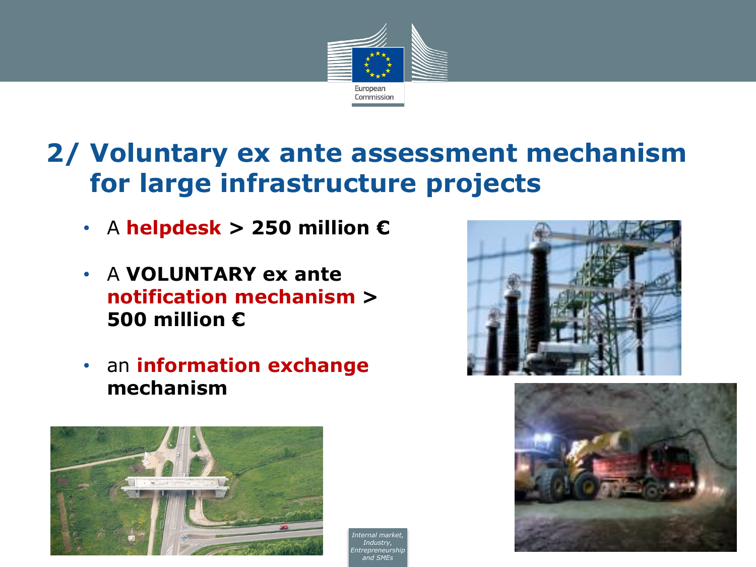

## **2/ Voluntary ex ante assessment mechanism for large infrastructure projects**

- A **helpdesk > 250 million €**
- A **VOLUNTARY ex ante notification mechanism > 500 million €**
- an **information exchange mechanism**



*Internal market Industry, ntrenreneurs and SMEs*



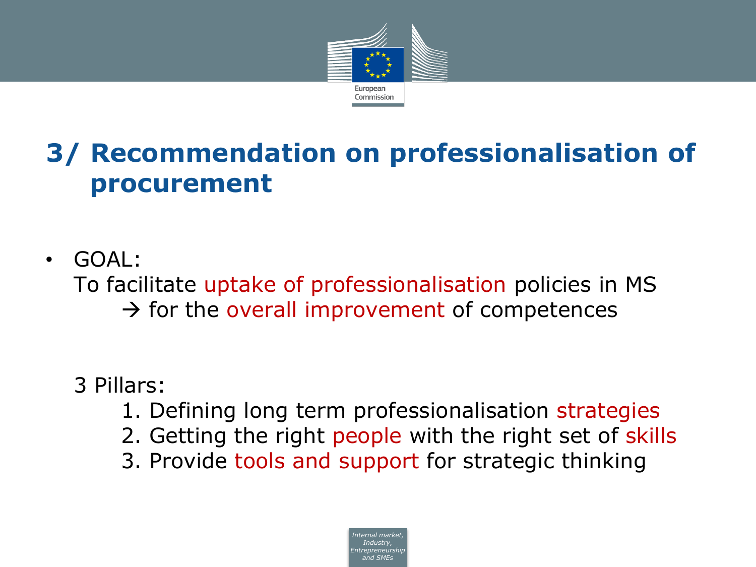

## **3/ Recommendation on professionalisation of procurement**

• GOAL:

To facilitate uptake of professionalisation policies in MS  $\rightarrow$  for the overall improvement of competences

- 3 Pillars:
	- 1. Defining long term professionalisation strategies
	- 2. Getting the right people with the right set of skills
	- 3. Provide tools and support for strategic thinking

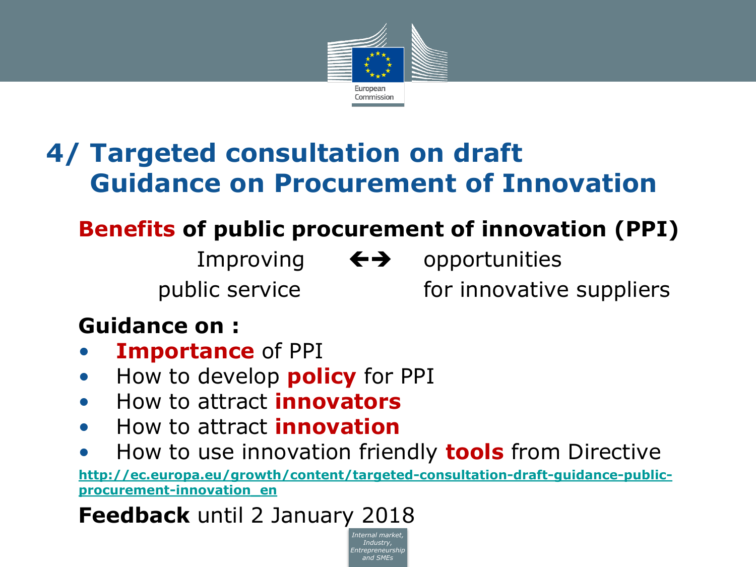

## **4/ Targeted consultation on draft Guidance on Procurement of Innovation**

### **Benefits of public procurement of innovation (PPI)**

- Improving  $\leftrightarrow$  opportunities
- public service external for innovative suppliers

#### **Guidance on :**

- **Importance** of PPI
- How to develop **policy** for PPI
- How to attract **innovators**
- How to attract **innovation**
- How to use innovation friendly **tools** from Directive

**[http://ec.europa.eu/growth/content/targeted-consultation-draft-guidance-public](http://ec.europa.eu/growth/content/targeted-consultation-draft-guidance-public-procurement-innovation_en)procurement-innovation\_en**

> *Internal market, Industry, Entrepreneurship and SMEs*

**Feedback** until 2 January 2018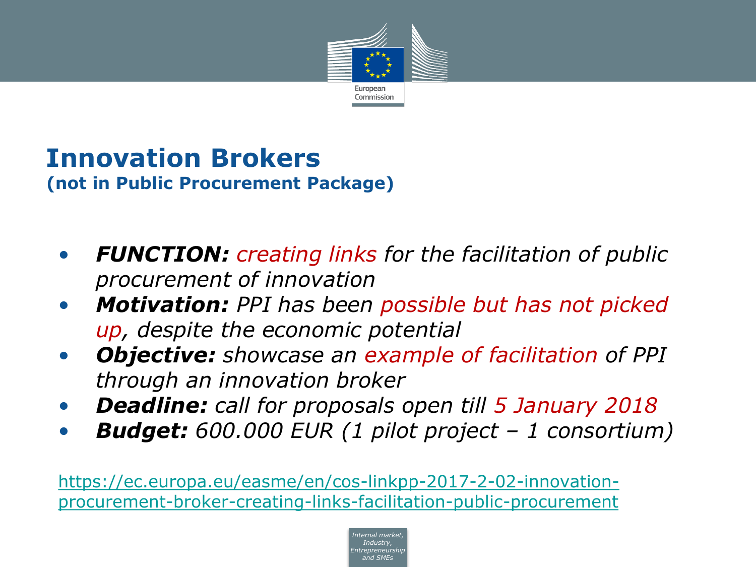

#### **Innovation Brokers (not in Public Procurement Package)**

- *FUNCTION: creating links for the facilitation of public procurement of innovation*
- *Motivation: PPI has been possible but has not picked up, despite the economic potential*
- *Objective: showcase an example of facilitation of PPI through an innovation broker*
- *Deadline: call for proposals open till 5 January 2018*
- *Budget: 600.000 EUR (1 pilot project – 1 consortium)*

https://ec.europa.eu/easme/en/cos-linkpp-2017-2-02-innovation[procurement-broker-creating-links-facilitation-public-procurement](https://ec.europa.eu/easme/en/cos-linkpp-2017-2-02-innovation-procurement-broker-creating-links-facilitation-public-procurement)

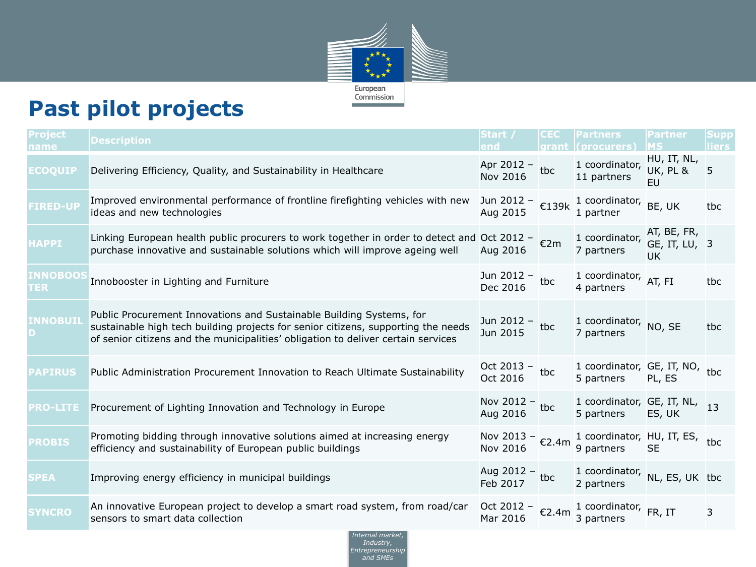

#### **Past pilot projects**

| <b>Project</b><br>name | <b>Description</b>                                                                                                                                                                                                                             | Start /                                       | <b>CEC</b><br>grant | <b>Partners</b><br>l (procurers)                               | Partner                                         | <b>Supp</b><br>liers: |
|------------------------|------------------------------------------------------------------------------------------------------------------------------------------------------------------------------------------------------------------------------------------------|-----------------------------------------------|---------------------|----------------------------------------------------------------|-------------------------------------------------|-----------------------|
| ECOQUIP                | Delivering Efficiency, Quality, and Sustainability in Healthcare                                                                                                                                                                               | Apr 2012 -<br>Nov 2016                        | tbc                 | 1 coordinator,<br>11 partners                                  | HU, IT, NL,<br><b>UK, PL &amp;</b><br><b>EU</b> | 5                     |
| <b>FIRED-UP</b>        | Improved environmental performance of frontline firefighting vehicles with new<br>ideas and new technologies                                                                                                                                   | Jun 2012 - €139k<br>Aug 2015                  |                     | 1 coordinator,<br>1 partner                                    | BE, UK                                          | tbc                   |
| <b>HAPPI</b>           | Linking European health public procurers to work together in order to detect and Oct 2012 - $\epsilon$ 2m<br>purchase innovative and sustainable solutions which will improve ageing well                                                      | Aug 2016                                      |                     | 1 coordinator,<br>7 partners                                   | AT, BE, FR,<br>GE, IT, LU, 3<br>UK              |                       |
| <b>INNOBOO:</b><br>TER | Innobooster in Lighting and Furniture                                                                                                                                                                                                          | Jun 2012 - tbc<br>Dec 2016                    |                     | 1 coordinator,<br>4 partners                                   | AT, FI                                          | tbc                   |
| <b>INNOBUI</b>         | Public Procurement Innovations and Sustainable Building Systems, for<br>sustainable high tech building projects for senior citizens, supporting the needs<br>of senior citizens and the municipalities' obligation to deliver certain services | Jun 2012 -<br>Jun 2015                        | tbc                 | 1 coordinator, NO, SE<br>7 partners                            |                                                 | tbc                   |
| <b>PAPIRUS</b>         | Public Administration Procurement Innovation to Reach Ultimate Sustainability                                                                                                                                                                  | Oct 2013 -<br>Oct 2016                        | tbc                 | 1 coordinator, GE, IT, NO, tbc<br>5 partners                   | PL, ES                                          |                       |
| <b>PRO-LITE</b>        | Procurement of Lighting Innovation and Technology in Europe                                                                                                                                                                                    | Nov 2012 - tbc<br>Aug 2016                    |                     | 1 coordinator, GE, IT, NL, 13<br>5 partners ES, UK             |                                                 |                       |
| <b>PROBIS</b>          | Promoting bidding through innovative solutions aimed at increasing energy<br>efficiency and sustainability of European public buildings                                                                                                        | Nov 2013 - $\epsilon$ 2.4m<br><b>Nov 2016</b> |                     | 1 coordinator, HU, IT, ES, tbc<br>9 partners                   | <b>SE</b>                                       |                       |
| <b>SPEA</b>            | Improving energy efficiency in municipal buildings                                                                                                                                                                                             | Aug 2012 - tbc<br>Feb 2017                    |                     | 1 coordinator,<br>2 partners                                   | NL, ES, UK tbc                                  |                       |
| <b>SYNCRO</b>          | An innovative European project to develop a smart road system, from road/car<br>sensors to smart data collection                                                                                                                               | Mar 2016                                      |                     | Oct 2012 - $\epsilon$ 2.4m 1 coordinator, FR, IT<br>3 partners |                                                 | 3                     |

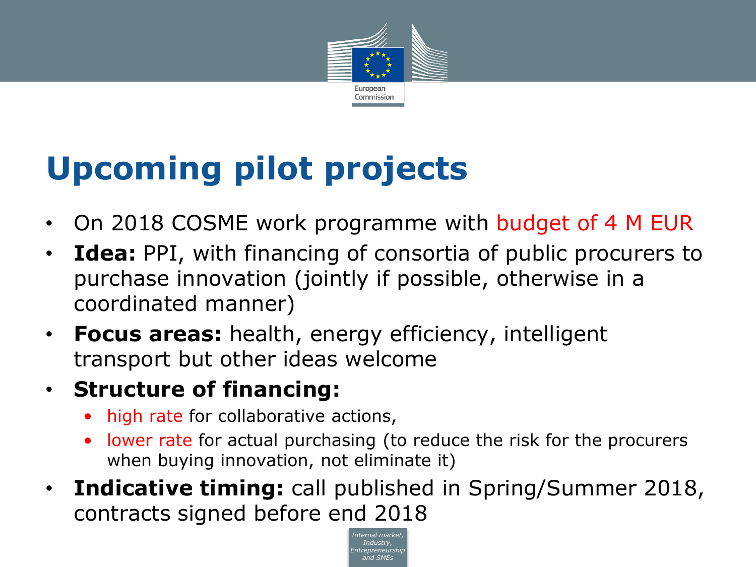

# **Upcoming pilot projects**

- On 2018 COSME work programme with budget of 4 M EUR
- **Idea:** PPI, with financing of consortia of public procurers to purchase innovation (jointly if possible, otherwise in a coordinated manner)
- **Focus areas:** health, energy efficiency, intelligent transport but other ideas welcome

#### • **Structure of financing:**

- high rate for collaborative actions,
- lower rate for actual purchasing (to reduce the risk for the procurers when buying innovation, not eliminate it)
- **Indicative timing:** call published in Spring/Summer 2018, contracts signed before end 2018